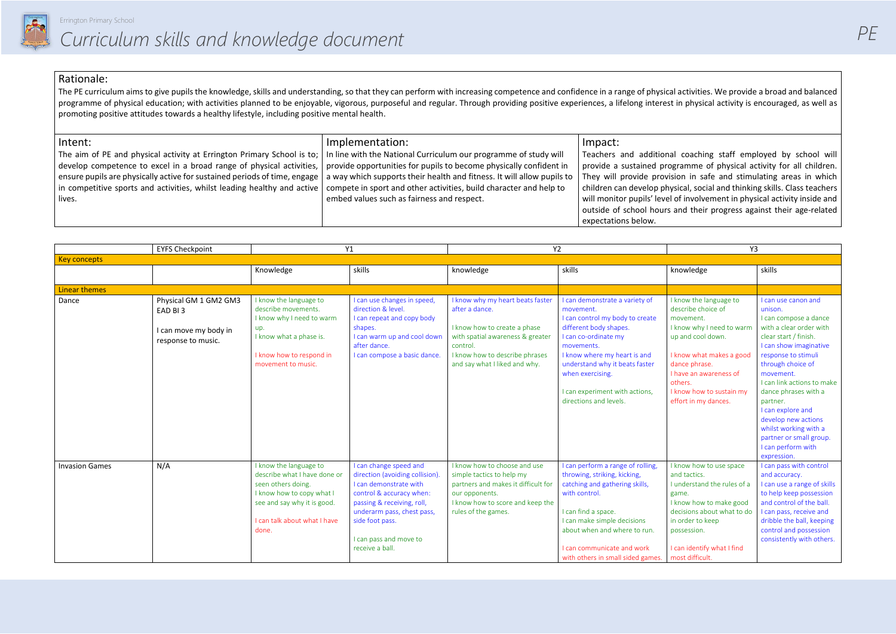

al coaching staff employed by school will pramme of physical activity for all children. sion in safe and stimulating areas in which ysical, social and thinking skills. Class teachers I of involvement in physical activity inside and and their progress against their age-related

#### Rationale:

The PE curriculum aims to give pupils the knowledge, skills and understanding, so that they can perform with increasing competence and confidence in a range of physical activities. We provide a broad and balanced programme of physical education; with activities planned to be enjoyable, vigorous, purposeful and regular. Through providing positive experiences, a lifelong interest in physical activity is encouraged, as well as promoting positive attitudes towards a healthy lifestyle, including positive mental health.

| Intent:                                                                   | Implementation:                                                        | Impact:                    |
|---------------------------------------------------------------------------|------------------------------------------------------------------------|----------------------------|
| The aim of PE and physical activity at Errington Primary School is to;    | In line with the National Curriculum our programme of study will       | Teachers and additiona     |
| develop competence to excel in a broad range of physical activities,      | provide opportunities for pupils to become physically confident in     | provide a sustained prog   |
| ensure pupils are physically active for sustained periods of time, engage | a way which supports their health and fitness. It will allow pupils to | They will provide provis   |
| in competitive sports and activities, whilst leading healthy and active   | compete in sport and other activities, build character and help to     | children can develop phy   |
| lives.                                                                    | embed values such as fairness and respect.                             | will monitor pupils' level |
|                                                                           |                                                                        | outside of school hours    |
|                                                                           |                                                                        | expectations below.        |

|                       | <b>EYFS Checkpoint</b><br>Y1                              |                                                                                                                                                                                   | <b>Y2</b>                                                                                                                                                                                                                                   |                                                                                                                                                                               | Y3                                                                                                                                                                                                                                                                            |                                                                                                                                                                                                                              |                                                                                                                                                                                                                                                                                        |
|-----------------------|-----------------------------------------------------------|-----------------------------------------------------------------------------------------------------------------------------------------------------------------------------------|---------------------------------------------------------------------------------------------------------------------------------------------------------------------------------------------------------------------------------------------|-------------------------------------------------------------------------------------------------------------------------------------------------------------------------------|-------------------------------------------------------------------------------------------------------------------------------------------------------------------------------------------------------------------------------------------------------------------------------|------------------------------------------------------------------------------------------------------------------------------------------------------------------------------------------------------------------------------|----------------------------------------------------------------------------------------------------------------------------------------------------------------------------------------------------------------------------------------------------------------------------------------|
| <b>Key concepts</b>   |                                                           |                                                                                                                                                                                   |                                                                                                                                                                                                                                             |                                                                                                                                                                               |                                                                                                                                                                                                                                                                               |                                                                                                                                                                                                                              |                                                                                                                                                                                                                                                                                        |
|                       |                                                           | Knowledge                                                                                                                                                                         | skills                                                                                                                                                                                                                                      | knowledge                                                                                                                                                                     | skills                                                                                                                                                                                                                                                                        | knowledge                                                                                                                                                                                                                    | skills                                                                                                                                                                                                                                                                                 |
| <b>Linear themes</b>  |                                                           |                                                                                                                                                                                   |                                                                                                                                                                                                                                             |                                                                                                                                                                               |                                                                                                                                                                                                                                                                               |                                                                                                                                                                                                                              |                                                                                                                                                                                                                                                                                        |
| Dance                 | Physical GM 1 GM2 GM3<br>EAD BI3<br>I can move my body in | I know the language to<br>describe movements.<br>I know why I need to warm<br>up.<br>I know what a phase is.                                                                      | I can use changes in speed,<br>direction & level.<br>I can repeat and copy body<br>shapes.<br>I can warm up and cool down                                                                                                                   | I know why my heart beats faster<br>after a dance.<br>I know how to create a phase<br>with spatial awareness & greater                                                        | I can demonstrate a variety of<br>movement.<br>I can control my body to create<br>different body shapes.<br>I can co-ordinate my                                                                                                                                              | I know the language to<br>describe choice of<br>movement.<br>I know why I need to warm<br>up and cool down.                                                                                                                  | I can use canon and<br>unison.<br>I can compose a dance<br>with a clear order with<br>clear start / finish.                                                                                                                                                                            |
|                       | response to music.                                        | I know how to respond in<br>movement to music.                                                                                                                                    | after dance.<br>I can compose a basic dance.                                                                                                                                                                                                | control.<br>I know how to describe phrases<br>and say what I liked and why.                                                                                                   | movements.<br>I know where my heart is and<br>understand why it beats faster<br>when exercising.<br>I can experiment with actions,<br>directions and levels.                                                                                                                  | I know what makes a good<br>dance phrase.<br>I have an awareness of<br>others.<br>I know how to sustain my<br>effort in my dances.                                                                                           | I can show imaginative<br>response to stimuli<br>through choice of<br>movement.<br>I can link actions to make<br>dance phrases with a<br>partner.<br>I can explore and<br>develop new actions<br>whilst working with a<br>partner or small group.<br>I can perform with<br>expression. |
| <b>Invasion Games</b> | N/A                                                       | I know the language to<br>describe what I have done or<br>seen others doing.<br>I know how to copy what I<br>see and say why it is good.<br>I can talk about what I have<br>done. | I can change speed and<br>direction (avoiding collision).<br>I can demonstrate with<br>control & accuracy when:<br>passing & receiving, roll,<br>underarm pass, chest pass,<br>side foot pass.<br>I can pass and move to<br>receive a ball. | I know how to choose and use<br>simple tactics to help my<br>partners and makes it difficult for<br>our opponents.<br>I know how to score and keep the<br>rules of the games. | I can perform a range of rolling,<br>throwing, striking, kicking,<br>catching and gathering skills,<br>with control.<br>I can find a space.<br>I can make simple decisions<br>about when and where to run.<br>I can communicate and work<br>with others in small sided games. | I know how to use space<br>and tactics.<br>I understand the rules of a<br>game.<br>I know how to make good<br>decisions about what to do<br>in order to keep<br>possession.<br>I can identify what I find<br>most difficult. | I can pass with control<br>and accuracy.<br>I can use a range of skills<br>to help keep possession<br>and control of the ball.<br>I can pass, receive and<br>dribble the ball, keeping<br>control and possession<br>consistently with others.                                          |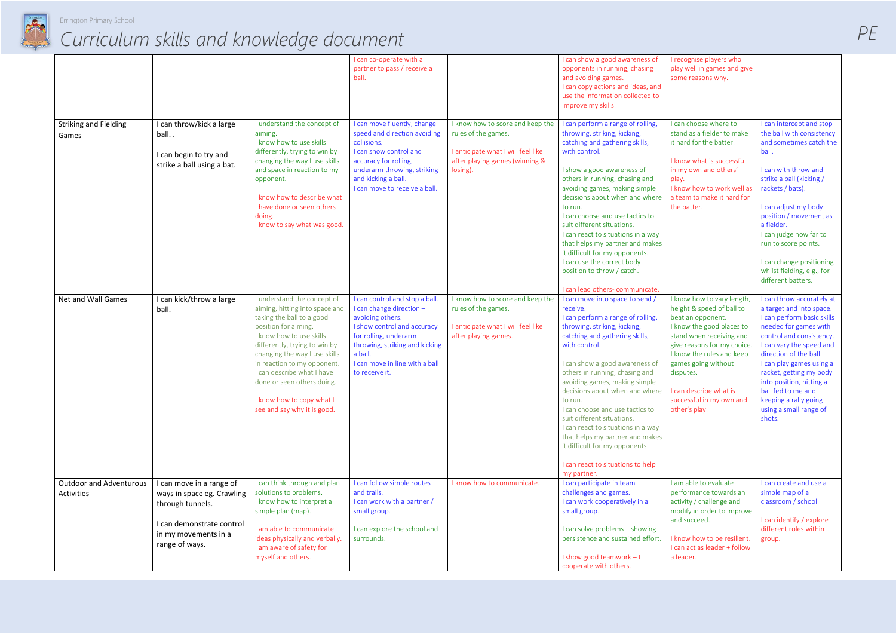

|                                              |                                                                                          |                                                                                                                                                                                                                                                                                                                                                                        | I can co-operate with a<br>partner to pass / receive a<br>ball.                                                                                                                                                                         |                                                                                                                                             | I can show a good awareness of<br>opponents in running, chasing<br>and avoiding games.<br>I can copy actions and ideas, and<br>use the information collected to<br>improve my skills.                                                                                                                                                                                                                                                                                                                                                                                          | I recognise players who<br>play well in games and give<br>some reasons why.                                                                                                                                                                                                        |                                                                                                                                                                                                                                                                                                                                                                      |
|----------------------------------------------|------------------------------------------------------------------------------------------|------------------------------------------------------------------------------------------------------------------------------------------------------------------------------------------------------------------------------------------------------------------------------------------------------------------------------------------------------------------------|-----------------------------------------------------------------------------------------------------------------------------------------------------------------------------------------------------------------------------------------|---------------------------------------------------------------------------------------------------------------------------------------------|--------------------------------------------------------------------------------------------------------------------------------------------------------------------------------------------------------------------------------------------------------------------------------------------------------------------------------------------------------------------------------------------------------------------------------------------------------------------------------------------------------------------------------------------------------------------------------|------------------------------------------------------------------------------------------------------------------------------------------------------------------------------------------------------------------------------------------------------------------------------------|----------------------------------------------------------------------------------------------------------------------------------------------------------------------------------------------------------------------------------------------------------------------------------------------------------------------------------------------------------------------|
| <b>Striking and Fielding</b><br>Games        | I can throw/kick a large<br>ball<br>I can begin to try and<br>strike a ball using a bat. | I understand the concept of<br>aiming.<br>I know how to use skills<br>differently, trying to win by<br>changing the way I use skills<br>and space in reaction to my<br>opponent.<br>I know how to describe what<br>I have done or seen others<br>doing.<br>I know to say what was good.                                                                                | I can move fluently, change<br>speed and direction avoiding<br>collisions.<br>I can show control and<br>accuracy for rolling,<br>underarm throwing, striking<br>and kicking a ball.<br>I can move to receive a ball.                    | I know how to score and keep the<br>rules of the games.<br>I anticipate what I will feel like<br>after playing games (winning &<br>losing). | I can perform a range of rolling,<br>throwing, striking, kicking,<br>catching and gathering skills,<br>with control.<br>I show a good awareness of<br>others in running, chasing and<br>avoiding games, making simple<br>decisions about when and where<br>to run.<br>I can choose and use tactics to<br>suit different situations.<br>I can react to situations in a way<br>that helps my partner and makes<br>it difficult for my opponents.<br>I can use the correct body<br>position to throw / catch.<br>I can lead others- communicate.                                  | I can choose where to<br>stand as a fielder to make<br>it hard for the batter.<br>I know what is successful<br>in my own and others'<br>play.<br>I know how to work well as<br>a team to make it hard for<br>the batter.                                                           | I can intercept and stop<br>the ball with consistency<br>and sometimes catch the<br>ball.<br>I can with throw and<br>strike a ball (kicking /<br>rackets / bats).<br>I can adjust my body<br>position / movement as<br>a fielder.<br>I can judge how far to<br>run to score points.<br>I can change positioning<br>whilst fielding, e.g., for<br>different batters.  |
| Net and Wall Games                           | I can kick/throw a large<br>ball.                                                        | I understand the concept of<br>aiming, hitting into space and<br>taking the ball to a good<br>position for aiming.<br>I know how to use skills<br>differently, trying to win by<br>changing the way I use skills<br>in reaction to my opponent<br>I can describe what I have<br>done or seen others doing.<br>I know how to copy what I<br>see and say why it is good. | I can control and stop a ball.<br>I can change direction -<br>avoiding others.<br>I show control and accuracy<br>for rolling, underarm<br>throwing, striking and kicking<br>a ball.<br>I can move in line with a ball<br>to receive it. | I know how to score and keep the<br>rules of the games.<br>I anticipate what I will feel like<br>after playing games.                       | I can move into space to send /<br>receive.<br>I can perform a range of rolling,<br>throwing, striking, kicking,<br>catching and gathering skills,<br>with control.<br>I can show a good awareness of<br>others in running, chasing and<br>avoiding games, making simple<br>decisions about when and where   I can describe what is<br>to run.<br>I can choose and use tactics to<br>suit different situations.<br>I can react to situations in a way<br>that helps my partner and makes<br>it difficult for my opponents.<br>I can react to situations to help<br>my partner. | I know how to vary length,<br>height & speed of ball to<br>beat an opponent.<br>I know the good places to<br>stand when receiving and<br>give reasons for my choice.<br>I know the rules and keep<br>games going without<br>disputes.<br>successful in my own and<br>other's play. | I can throw accurately at<br>a target and into space.<br>I can perform basic skills<br>needed for games with<br>control and consistency.<br>I can vary the speed and<br>direction of the ball.<br>I can play games using a<br>racket, getting my body<br>into position, hitting a<br>ball fed to me and<br>keeping a rally going<br>using a small range of<br>shots. |
| <b>Outdoor and Adventurous</b><br>Activities | I can move in a range of<br>ways in space eg. Crawling<br>through tunnels.               | I can think through and plan<br>solutions to problems.<br>I know how to interpret a<br>simple plan (map).                                                                                                                                                                                                                                                              | I can follow simple routes<br>and trails.<br>I can work with a partner /<br>small group.                                                                                                                                                | I know how to communicate.                                                                                                                  | I can participate in team<br>challenges and games.<br>I can work cooperatively in a<br>small group.                                                                                                                                                                                                                                                                                                                                                                                                                                                                            | I am able to evaluate<br>performance towards an<br>activity / challenge and<br>modify in order to improve                                                                                                                                                                          | I can create and use a<br>simple map of a<br>classroom / school.                                                                                                                                                                                                                                                                                                     |
|                                              | I can demonstrate control<br>in my movements in a<br>range of ways.                      | I am able to communicate<br>ideas physically and verbally.<br>I am aware of safety for<br>myself and others.                                                                                                                                                                                                                                                           | I can explore the school and<br>surrounds.                                                                                                                                                                                              |                                                                                                                                             | I can solve problems - showing<br>persistence and sustained effort.<br>I show good teamwork - I<br>cooperate with others.                                                                                                                                                                                                                                                                                                                                                                                                                                                      | and succeed.<br>I know how to be resilient.<br>I can act as leader + follow<br>a leader.                                                                                                                                                                                           | I can identify / explore<br>different roles within<br>group.                                                                                                                                                                                                                                                                                                         |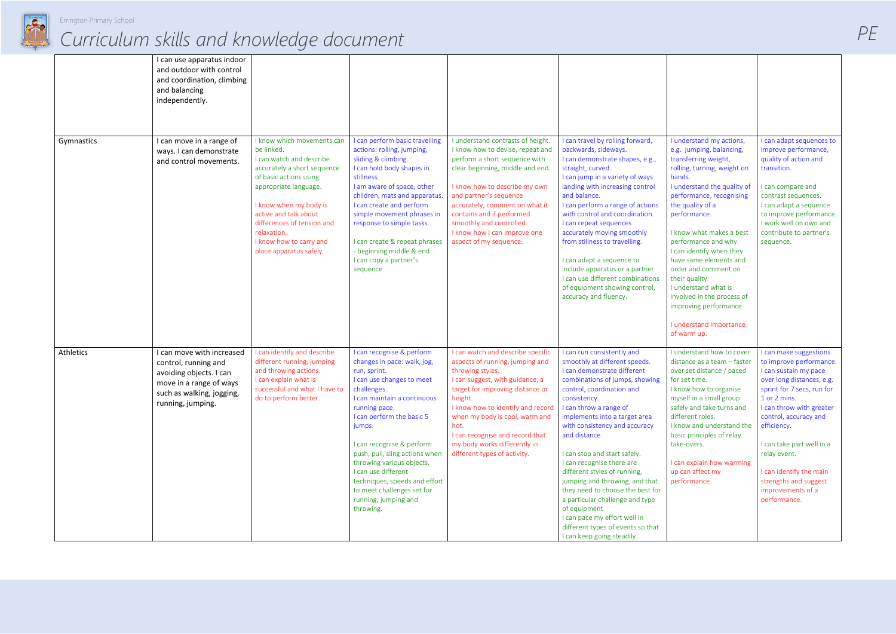

|            | I can use apparatus indoor<br>and outdoor with control<br>and coordination, climbing<br>and balancing<br>independently.                                   |                                                                                                                                                                                                                                                                                                              |                                                                                                                                                                                                                                                                                                                                                                                                                                    |                                                                                                                                                                                                                                                                                                                                                              |                                                                                                                                                                                                                                                                                                                                                                                                                                                                                                                                                                                                                  |                                                                                                                                                                                                                                                                                                                                                                                                                                                                                                    |                                                                                                                                                                                                                                                                                                                                                                 |
|------------|-----------------------------------------------------------------------------------------------------------------------------------------------------------|--------------------------------------------------------------------------------------------------------------------------------------------------------------------------------------------------------------------------------------------------------------------------------------------------------------|------------------------------------------------------------------------------------------------------------------------------------------------------------------------------------------------------------------------------------------------------------------------------------------------------------------------------------------------------------------------------------------------------------------------------------|--------------------------------------------------------------------------------------------------------------------------------------------------------------------------------------------------------------------------------------------------------------------------------------------------------------------------------------------------------------|------------------------------------------------------------------------------------------------------------------------------------------------------------------------------------------------------------------------------------------------------------------------------------------------------------------------------------------------------------------------------------------------------------------------------------------------------------------------------------------------------------------------------------------------------------------------------------------------------------------|----------------------------------------------------------------------------------------------------------------------------------------------------------------------------------------------------------------------------------------------------------------------------------------------------------------------------------------------------------------------------------------------------------------------------------------------------------------------------------------------------|-----------------------------------------------------------------------------------------------------------------------------------------------------------------------------------------------------------------------------------------------------------------------------------------------------------------------------------------------------------------|
| Gymnastics | I can move in a range of<br>ways. I can demonstrate<br>and control movements.                                                                             | I know which movements can<br>be linked.<br>I can watch and describe<br>accurately a short sequence<br>of basic actions using<br>appropriate language.<br>I know when my body is<br>active and talk about<br>differences of tension and<br>relaxation.<br>I know how to carry and<br>place apparatus safely. | I can perform basic travelling<br>actions: rolling, jumping,<br>sliding & climbing.<br>I can hold body shapes in<br>stillness.<br>I am aware of space, other<br>children, mats and apparatus<br>I can create and perform<br>simple movement phrases in<br>response to simple tasks.<br>I can create & repeat phrases<br>- beginning middle & end<br>I can copy a partner's<br>sequence.                                            | I understand contrasts of height.<br>I know how to devise, repeat and<br>perform a short sequence with<br>clear beginning, middle and end.<br>I know how to describe my own<br>and partner's sequence<br>accurately, comment on what it<br>contains and if performed<br>smoothly and controlled.<br>I know how I can improve one<br>aspect of my sequence.   | I can travel by rolling forward,<br>backwards, sideways.<br>I can demonstrate shapes, e.g.,<br>straight, curved.<br>I can jump in a variety of ways<br>landing with increasing control<br>and balance.<br>I can perform a range of actions<br>with control and coordination.<br>I can repeat sequences<br>accurately moving smoothly<br>from stillness to travelling.<br>I can adapt a sequence to<br>include apparatus or a partner.<br>I can use different combinations<br>of equipment showing control,<br>accuracy and fluency.                                                                              | I understand my actions,<br>e.g. jumping, balancing,<br>transferring weight,<br>rolling, turning, weight on<br>hands.<br>I understand the quality of<br>performance, recognising<br>the quality of a<br>performance.<br>I know what makes a best<br>performance and why.<br>I can identify when they<br>have same elements and<br>order and comment on<br>their quality.<br>I understand what is<br>involved in the process of<br>improving performance.<br>I understand importance<br>of warm up. | I can adapt sequences to<br>improve performance,<br>quality of action and<br>transition.<br>I can compare and<br>contrast sequences.<br>I can adapt a sequence<br>to improve performance.<br>I work well on own and<br>contribute to partner's<br>sequence.                                                                                                     |
| Athletics  | I can move with increased<br>control, running and<br>avoiding objects. I can<br>move in a range of ways<br>such as walking, jogging,<br>running, jumping. | I can identify and describe<br>different running, jumping<br>and throwing actions.<br>I can explain what is<br>successful and what I have to<br>do to perform better.                                                                                                                                        | I can recognise & perform<br>changes in pace: walk, jog,<br>run, sprint.<br>I can use changes to meet<br>challenges.<br>I can maintain a continuous<br>running pace.<br>I can perform the basic 5<br>jumps.<br>I can recognise & perform<br>push, pull, sling actions when<br>throwing various objects.<br>I can use different<br>techniques, speeds and effort<br>to meet challenges set for<br>running, jumping and<br>throwing. | I can watch and describe specific<br>aspects of running, jumping and<br>throwing styles.<br>I can suggest, with guidance, a<br>target for improving distance or<br>height.<br>I know how to identify and record<br>when my body is cool, warm and<br>hot.<br>I can recognise and record that<br>my body works differently in<br>different types of activity. | I can run consistently and<br>smoothly at different speeds.<br>I can demonstrate different<br>combinations of jumps, showing<br>control, coordination and<br>consistency.<br>I can throw a range of<br>implements into a target area<br>with consistency and accuracy<br>and distance.<br>I can stop and start safely.<br>I can recognise there are<br>different styles of running,<br>jumping and throwing, and that<br>they need to choose the best for<br>a particular challenge and type<br>of equipment.<br>I can pace my effort well in<br>different types of events so that<br>I can keep going steadily. | I understand how to cover<br>distance as a team - faster<br>over set distance / paced<br>for set time.<br>I know how to organise<br>myself in a small group<br>safely and take turns and<br>different roles.<br>I know and understand the<br>basic principles of relay<br>take-overs.<br>I can explain how warming<br>up can affect my<br>performance.                                                                                                                                             | I can make suggestions<br>to improve performance.<br>I can sustain my pace<br>over long distances, e.g.<br>sprint for 7 secs, run for<br>1 or 2 mins.<br>I can throw with greater<br>control, accuracy and<br>efficiency.<br>I can take part well in a<br>relay event.<br>I can identify the main<br>strengths and suggest<br>improvements of a<br>performance. |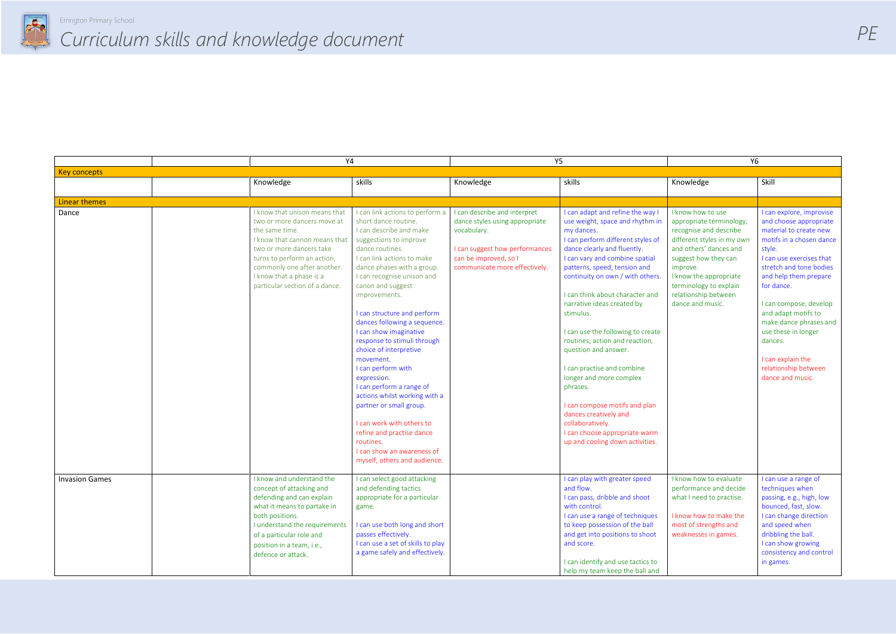

|                       | Υ4                                                                                                                                                                                                                                                                      |                                                                                                                                                                                                                                                                                                                                                                                                                                                                                                                                                                                                                                                                                                  | <b>Y5</b>                                                                                                                                                                 |                                                                                                                                                                                                                                                                                                                                                                                                                                                                                                                                                                                                                                                                 | <b>Y6</b>                                                                                                                                                                                                                                                           |                                                                                                                                                                                                                                                                                                                                                                                                |
|-----------------------|-------------------------------------------------------------------------------------------------------------------------------------------------------------------------------------------------------------------------------------------------------------------------|--------------------------------------------------------------------------------------------------------------------------------------------------------------------------------------------------------------------------------------------------------------------------------------------------------------------------------------------------------------------------------------------------------------------------------------------------------------------------------------------------------------------------------------------------------------------------------------------------------------------------------------------------------------------------------------------------|---------------------------------------------------------------------------------------------------------------------------------------------------------------------------|-----------------------------------------------------------------------------------------------------------------------------------------------------------------------------------------------------------------------------------------------------------------------------------------------------------------------------------------------------------------------------------------------------------------------------------------------------------------------------------------------------------------------------------------------------------------------------------------------------------------------------------------------------------------|---------------------------------------------------------------------------------------------------------------------------------------------------------------------------------------------------------------------------------------------------------------------|------------------------------------------------------------------------------------------------------------------------------------------------------------------------------------------------------------------------------------------------------------------------------------------------------------------------------------------------------------------------------------------------|
| <b>Key concepts</b>   |                                                                                                                                                                                                                                                                         |                                                                                                                                                                                                                                                                                                                                                                                                                                                                                                                                                                                                                                                                                                  |                                                                                                                                                                           |                                                                                                                                                                                                                                                                                                                                                                                                                                                                                                                                                                                                                                                                 |                                                                                                                                                                                                                                                                     |                                                                                                                                                                                                                                                                                                                                                                                                |
|                       | Knowledge                                                                                                                                                                                                                                                               | skills                                                                                                                                                                                                                                                                                                                                                                                                                                                                                                                                                                                                                                                                                           | Knowledge                                                                                                                                                                 | skills                                                                                                                                                                                                                                                                                                                                                                                                                                                                                                                                                                                                                                                          | Knowledge                                                                                                                                                                                                                                                           | Skill                                                                                                                                                                                                                                                                                                                                                                                          |
| <b>Linear themes</b>  |                                                                                                                                                                                                                                                                         |                                                                                                                                                                                                                                                                                                                                                                                                                                                                                                                                                                                                                                                                                                  |                                                                                                                                                                           |                                                                                                                                                                                                                                                                                                                                                                                                                                                                                                                                                                                                                                                                 |                                                                                                                                                                                                                                                                     |                                                                                                                                                                                                                                                                                                                                                                                                |
| Dance                 | I know that unison means that<br>two or more dancers move at<br>the same time.<br>I know that cannon means that<br>two or more dancers take<br>turns to perform an action,<br>commonly one after another.<br>I know that a phase is a<br>particular section of a dance. | I can link actions to perform a<br>short dance routine.<br>I can describe and make<br>suggestions to improve<br>dance routines.<br>I can link actions to make<br>dance phases with a group.<br>I can recognise unison and<br>canon and suggest<br>improvements.<br>I can structure and perform<br>dances following a sequence.<br>I can show imaginative<br>response to stimuli through<br>choice of interpretive<br>movement.<br>I can perform with<br>expression.<br>I can perform a range of<br>actions whilst working with a<br>partner or small group.<br>I can work with others to<br>refine and practise dance<br>routines.<br>I can show an awareness of<br>myself, others and audience. | I can describe and interpret<br>dance styles using appropriate<br>vocabulary.<br>I can suggest how performances<br>can be improved, so I<br>communicate more effectively. | I can adapt and refine the way I<br>use weight, space and rhythm in<br>my dances.<br>I can perform different styles of<br>dance clearly and fluently.<br>I can vary and combine spatial<br>patterns, speed, tension and<br>continuity on own / with others.<br>I can think about character and<br>narrative ideas created by<br>stimulus.<br>I can use the following to create<br>routines; action and reaction,<br>question and answer.<br>I can practise and combine<br>longer and more complex<br>phrases.<br>I can compose motifs and plan<br>dances creatively and<br>collaboratively.<br>I can choose appropriate warm<br>up and cooling down activities. | I know how to use<br>appropriate terminology,<br>recognise and describe<br>different styles in my own<br>and others' dances and<br>suggest how they can<br>improve.<br>I know the appropriate<br>terminology to explain<br>relationship between<br>dance and music. | I can explore, improvise<br>and choose appropriate<br>material to create new<br>motifs in a chosen dance<br>style.<br>I can use exercises that<br>stretch and tone bodies<br>and help them prepare<br>for dance.<br>I can compose, develop<br>and adapt motifs to<br>make dance phrases and<br>use these in longer<br>dances.<br>I can explain the<br>relationship between<br>dance and music. |
| <b>Invasion Games</b> | I know and understand the<br>concept of attacking and<br>defending and can explain<br>what it means to partake in<br>both positions.<br>I understand the requirements<br>of a particular role and<br>position in a team, i.e.,<br>defence or attack.                    | I can select good attacking<br>and defending tactics<br>appropriate for a particular<br>game.<br>I can use both long and short<br>passes effectively.<br>I can use a set of skills to play<br>a game safely and effectively.                                                                                                                                                                                                                                                                                                                                                                                                                                                                     |                                                                                                                                                                           | I can play with greater speed<br>and flow.<br>I can pass, dribble and shoot<br>with control.<br>I can use a range of techniques<br>to keep possession of the ball<br>and get into positions to shoot<br>and score.<br>I can identify and use tactics to<br>help my team keep the ball and                                                                                                                                                                                                                                                                                                                                                                       | I know how to evaluate<br>performance and decide<br>what I need to practise.<br>I know how to make the<br>most of strengths and<br>weaknesses in games.                                                                                                             | I can use a range of<br>techniques when<br>passing, e.g., high, low<br>bounced, fast, slow.<br>I can change direction<br>and speed when<br>dribbling the ball.<br>I can show growing<br>consistency and control<br>in games.                                                                                                                                                                   |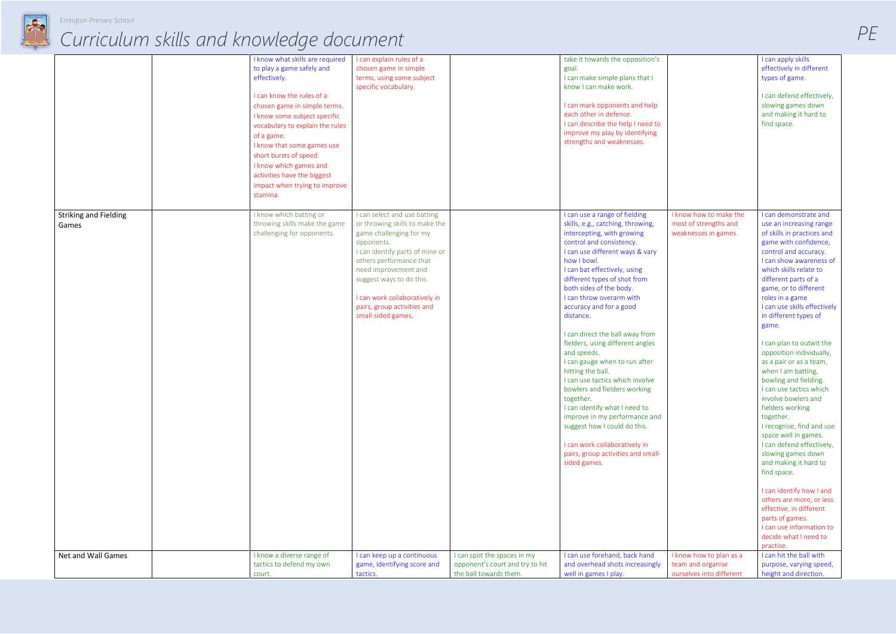

|                                       | I know what skills are required<br>to play a game safely and<br>effectively.<br>I can know the rules of a<br>chosen game in simple terms.<br>I know some subject specific<br>vocabulary to explain the rules<br>of a game.<br>I know that some games use<br>short bursts of speed.<br>I know which games and<br>activities have the biggest<br>impact when trying to improve<br>stamina. | I can explain rules of a<br>chosen game in simple<br>terms, using some subject<br>specific vocabulary.                                                                                                                                                                                                          |                                                                                          | take it towards the opposition's<br>goal.<br>I can make simple plans that I<br>know I can make work.<br>I can mark opponents and help<br>each other in defence.<br>I can describe the help I need to<br>improve my play by identifying<br>strengths and weaknesses.                                                                                                                                                                                                                                                                                                                                                                                                                                                                                                |                                                                          | I can apply skills<br>effectively in different<br>types of game.<br>I can defend effectively,<br>slowing games down<br>and making it hard to<br>find space.                                                                                                                                                                                                                                                                                                                                                                                                                                                                                                                                                                                                                                                                                                              |
|---------------------------------------|------------------------------------------------------------------------------------------------------------------------------------------------------------------------------------------------------------------------------------------------------------------------------------------------------------------------------------------------------------------------------------------|-----------------------------------------------------------------------------------------------------------------------------------------------------------------------------------------------------------------------------------------------------------------------------------------------------------------|------------------------------------------------------------------------------------------|--------------------------------------------------------------------------------------------------------------------------------------------------------------------------------------------------------------------------------------------------------------------------------------------------------------------------------------------------------------------------------------------------------------------------------------------------------------------------------------------------------------------------------------------------------------------------------------------------------------------------------------------------------------------------------------------------------------------------------------------------------------------|--------------------------------------------------------------------------|--------------------------------------------------------------------------------------------------------------------------------------------------------------------------------------------------------------------------------------------------------------------------------------------------------------------------------------------------------------------------------------------------------------------------------------------------------------------------------------------------------------------------------------------------------------------------------------------------------------------------------------------------------------------------------------------------------------------------------------------------------------------------------------------------------------------------------------------------------------------------|
| <b>Striking and Fielding</b><br>Games | I know which batting or<br>throwing skills make the game<br>challenging for opponents.                                                                                                                                                                                                                                                                                                   | I can select and use batting<br>or throwing skills to make the<br>game challenging for my<br>opponents.<br>I can identify parts of mine or<br>others performance that<br>need improvement and<br>suggest ways to do this.<br>I can work collaboratively in<br>pairs, group activities and<br>small-sided games. |                                                                                          | I can use a range of fielding<br>skills, e.g., catching, throwing,<br>intercepting, with growing<br>control and consistency.<br>I can use different ways & vary<br>how I bowl.<br>I can bat effectively, using<br>different types of shot from<br>both sides of the body.<br>I can throw overarm with<br>accuracy and for a good<br>distance.<br>I can direct the ball away from<br>fielders, using different angles<br>and speeds.<br>I can gauge when to run after<br>hitting the ball.<br>I can use tactics which involve<br>bowlers and fielders working<br>together.<br>I can identify what I need to<br>improve in my performance and<br>suggest how I could do this.<br>I can work collaboratively in<br>pairs, group activities and small-<br>sided games. | I know how to make the<br>most of strengths and<br>weaknesses in games.  | I can demonstrate and<br>use an increasing range<br>of skills in practices and<br>game with confidence,<br>control and accuracy.<br>I can show awareness of<br>which skills relate to<br>different parts of a<br>game, or to different<br>roles in a game<br>I can use skills effectively<br>in different types of<br>game.<br>I can plan to outwit the<br>opposition individually,<br>as a pair or as a team,<br>when I am batting,<br>bowling and fielding.<br>I can use tactics which<br>involve bowlers and<br>fielders working<br>together.<br>I recognise, find and use<br>space well in games.<br>I can defend effectively,<br>slowing games down<br>and making it hard to<br>find space.<br>I can identify how I and<br>others are more, or less<br>effective, in different<br>parts of games.<br>I can use information to<br>decide what I need to<br>practise. |
| Net and Wall Games                    | I know a diverse range of<br>tactics to defend my own<br>court.                                                                                                                                                                                                                                                                                                                          | I can keep up a continuous<br>game, identifying score and<br>tactics.                                                                                                                                                                                                                                           | I can spot the spaces in my<br>opponent's court and try to hit<br>the ball towards them. | I can use forehand, back hand<br>and overhead shots increasingly<br>well in games I play.                                                                                                                                                                                                                                                                                                                                                                                                                                                                                                                                                                                                                                                                          | I know how to plan as a<br>team and organise<br>ourselves into different | I can hit the ball with<br>purpose, varying speed,<br>height and direction.                                                                                                                                                                                                                                                                                                                                                                                                                                                                                                                                                                                                                                                                                                                                                                                              |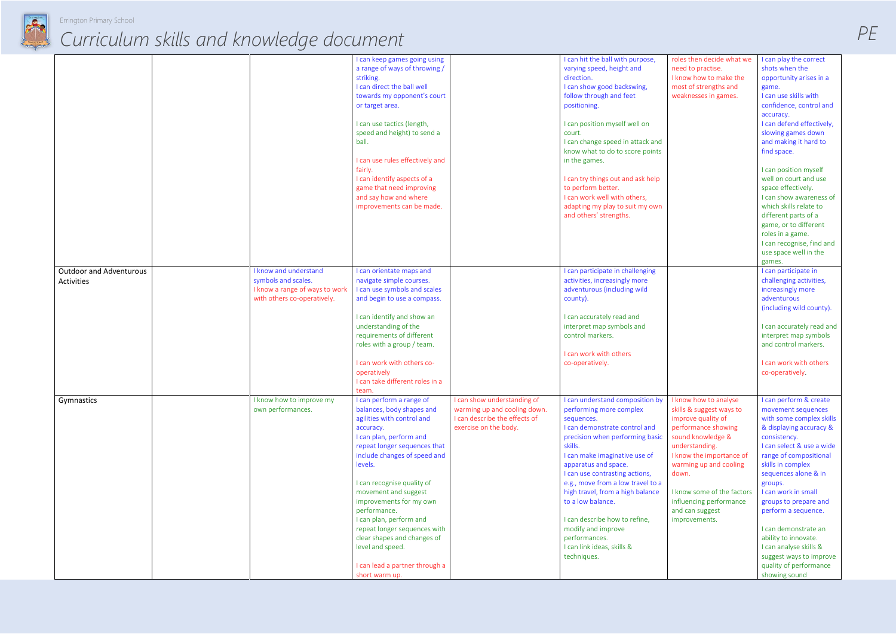

|                                              |                                                                                                               | I can keep games going using<br>a range of ways of throwing /<br>striking.<br>I can direct the ball well<br>towards my opponent's court<br>or target area.<br>I can use tactics (length,<br>speed and height) to send a<br>ball.<br>I can use rules effectively and<br>fairly.<br>I can identify aspects of a<br>game that need improving<br>and say how and where<br>improvements can be made.                                                                           |                                                                                                                       | I can hit the ball with purpose,<br>varying speed, height and<br>direction.<br>I can show good backswing,<br>follow through and feet<br>positioning.<br>I can position myself well on<br>court.<br>I can change speed in attack and<br>know what to do to score points<br>in the games.<br>I can try things out and ask help<br>to perform better.<br>I can work well with others,<br>adapting my play to suit my own<br>and others' strengths.                       |  |
|----------------------------------------------|---------------------------------------------------------------------------------------------------------------|---------------------------------------------------------------------------------------------------------------------------------------------------------------------------------------------------------------------------------------------------------------------------------------------------------------------------------------------------------------------------------------------------------------------------------------------------------------------------|-----------------------------------------------------------------------------------------------------------------------|-----------------------------------------------------------------------------------------------------------------------------------------------------------------------------------------------------------------------------------------------------------------------------------------------------------------------------------------------------------------------------------------------------------------------------------------------------------------------|--|
| <b>Outdoor and Adventurous</b><br>Activities | I know and understand<br>symbols and scales.<br>I know a range of ways to work<br>with others co-operatively. | I can orientate maps and<br>navigate simple courses.<br>I can use symbols and scales<br>and begin to use a compass.<br>I can identify and show an<br>understanding of the<br>requirements of different<br>roles with a group / team.<br>I can work with others co-<br>operatively<br>I can take different roles in a<br>team.                                                                                                                                             |                                                                                                                       | I can participate in challenging<br>activities, increasingly more<br>adventurous (including wild<br>county).<br>I can accurately read and<br>interpret map symbols and<br>control markers.<br>I can work with others<br>co-operatively.                                                                                                                                                                                                                               |  |
| Gymnastics                                   | I know how to improve my<br>own performances.                                                                 | I can perform a range of<br>balances, body shapes and<br>agilities with control and<br>accuracy.<br>I can plan, perform and<br>repeat longer sequences that<br>include changes of speed and<br>levels.<br>I can recognise quality of<br>movement and suggest<br>improvements for my own<br>performance.<br>I can plan, perform and<br>repeat longer sequences with<br>clear shapes and changes of<br>level and speed.<br>I can lead a partner through a<br>short warm up. | I can show understanding of<br>warming up and cooling down.<br>I can describe the effects of<br>exercise on the body. | I can understand composition by<br>performing more complex<br>sequences.<br>I can demonstrate control and<br>precision when performing basic<br>skills.<br>I can make imaginative use of<br>apparatus and space.<br>I can use contrasting actions,<br>e.g., move from a low travel to a<br>high travel, from a high balance<br>to a low balance.<br>I can describe how to refine,<br>modify and improve<br>performances.<br>I can link ideas, skills &<br>techniques. |  |

| roles then decide what we<br>need to practise.<br>I know how to make the<br>most of strengths and<br>weaknesses in games.                                                                                                                                                                         | I can play the correct<br>shots when the<br>opportunity arises in a<br>game.<br>I can use skills with<br>confidence, control and<br>accuracy.<br>I can defend effectively,<br>slowing games down<br>and making it hard to<br>find space.                                                                                                                                                                                                                  |  |
|---------------------------------------------------------------------------------------------------------------------------------------------------------------------------------------------------------------------------------------------------------------------------------------------------|-----------------------------------------------------------------------------------------------------------------------------------------------------------------------------------------------------------------------------------------------------------------------------------------------------------------------------------------------------------------------------------------------------------------------------------------------------------|--|
|                                                                                                                                                                                                                                                                                                   | I can position myself<br>well on court and use<br>space effectively.<br>I can show awareness of<br>which skills relate to<br>different parts of a<br>game, or to different<br>roles in a game.<br>I can recognise, find and<br>use space well in the<br>games.                                                                                                                                                                                            |  |
|                                                                                                                                                                                                                                                                                                   | I can participate in<br>challenging activities,<br>increasingly more<br>adventurous<br>(including wild county).<br>I can accurately read and<br>interpret map symbols<br>and control markers.<br>I can work with others<br>co-operatively.                                                                                                                                                                                                                |  |
| I know how to analyse<br>skills & suggest ways to<br>improve quality of<br>performance showing<br>sound knowledge &<br>understanding.<br>I know the importance of<br>warming up and cooling<br>down.<br>I know some of the factors<br>influencing performance<br>and can suggest<br>improvements. | I can perform & create<br>movement sequences<br>with some complex skills<br>& displaying accuracy &<br>consistency.<br>I can select & use a wide<br>range of compositional<br>skills in complex<br>sequences alone & in<br>groups.<br>I can work in small<br>groups to prepare and<br>perform a sequence.<br>I can demonstrate an<br>ability to innovate.<br>I can analyse skills &<br>suggest ways to improve<br>quality of performance<br>showing sound |  |